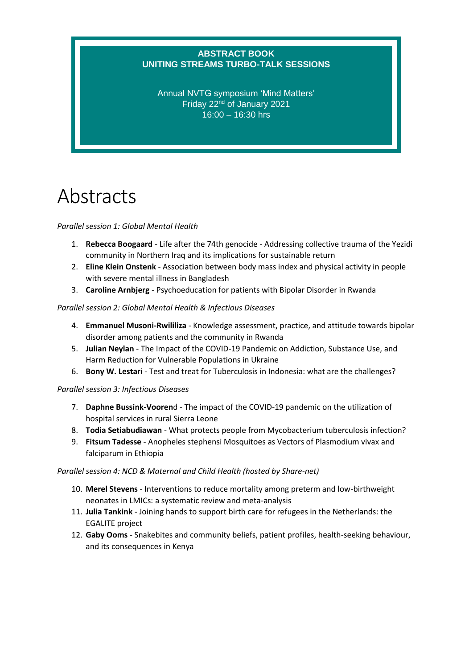## **ABSTRACT BOOK UNITING STREAMS TURBO-TALK SESSIONS**

Annual NVTG symposium 'Mind Matters' Friday 22nd of January 2021 16:00 – 16:30 hrs

# Abstracts

## *Parallel session 1: Global Mental Health*

- 1. **Rebecca Boogaard** Life after the 74th genocide Addressing collective trauma of the Yezidi community in Northern Iraq and its implications for sustainable return
- 2. **Eline Klein Onstenk** Association between body mass index and physical activity in people with severe mental illness in Bangladesh
- 3. **Caroline Arnbjerg** Psychoeducation for patients with Bipolar Disorder in Rwanda

## *Parallel session 2: Global Mental Health & Infectious Diseases*

- 4. **Emmanuel Musoni-Rwililiza** Knowledge assessment, practice, and attitude towards bipolar disorder among patients and the community in Rwanda
- 5. **Julian Neylan** The Impact of the COVID-19 Pandemic on Addiction, Substance Use, and Harm Reduction for Vulnerable Populations in Ukraine
- 6. **Bony W. Lestar**i Test and treat for Tuberculosis in Indonesia: what are the challenges?

## *Parallel session 3: Infectious Diseases*

- 7. **Daphne Bussink-Vooren**d The impact of the COVID-19 pandemic on the utilization of hospital services in rural Sierra Leone
- 8. **Todia Setiabudiawan** What protects people from Mycobacterium tuberculosis infection?
- 9. **Fitsum Tadesse** Anopheles stephensi Mosquitoes as Vectors of Plasmodium vivax and falciparum in Ethiopia

#### *Parallel session 4: NCD & Maternal and Child Health (hosted by Share-net)*

- 10. **Merel Stevens** Interventions to reduce mortality among preterm and low-birthweight neonates in LMICs: a systematic review and meta-analysis
- 11. **Julia Tankink** Joining hands to support birth care for refugees in the Netherlands: the EGALITE project
- 12. **Gaby Ooms** Snakebites and community beliefs, patient profiles, health-seeking behaviour, and its consequences in Kenya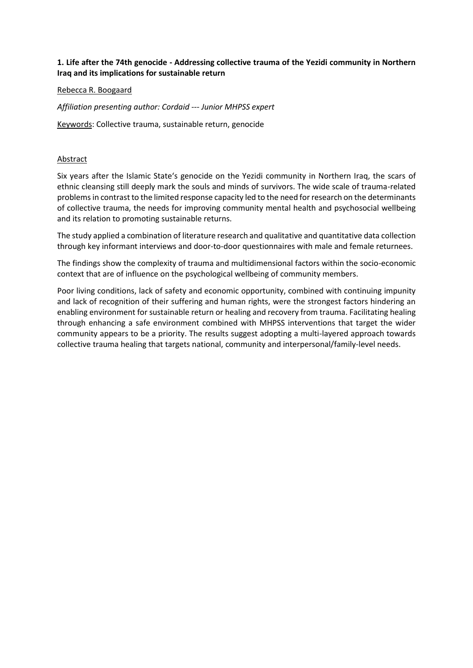## **1. Life after the 74th genocide - Addressing collective trauma of the Yezidi community in Northern Iraq and its implications for sustainable return**

## Rebecca R. Boogaard

*Affiliation presenting author: Cordaid --- Junior MHPSS expert*

Keywords: Collective trauma, sustainable return, genocide

#### Abstract

Six years after the Islamic State's genocide on the Yezidi community in Northern Iraq, the scars of ethnic cleansing still deeply mark the souls and minds of survivors. The wide scale of trauma-related problems in contrast to the limited response capacity led to the need for research on the determinants of collective trauma, the needs for improving community mental health and psychosocial wellbeing and its relation to promoting sustainable returns.

The study applied a combination of literature research and qualitative and quantitative data collection through key informant interviews and door-to-door questionnaires with male and female returnees.

The findings show the complexity of trauma and multidimensional factors within the socio-economic context that are of influence on the psychological wellbeing of community members.

Poor living conditions, lack of safety and economic opportunity, combined with continuing impunity and lack of recognition of their suffering and human rights, were the strongest factors hindering an enabling environment for sustainable return or healing and recovery from trauma. Facilitating healing through enhancing a safe environment combined with MHPSS interventions that target the wider community appears to be a priority. The results suggest adopting a multi-layered approach towards collective trauma healing that targets national, community and interpersonal/family-level needs.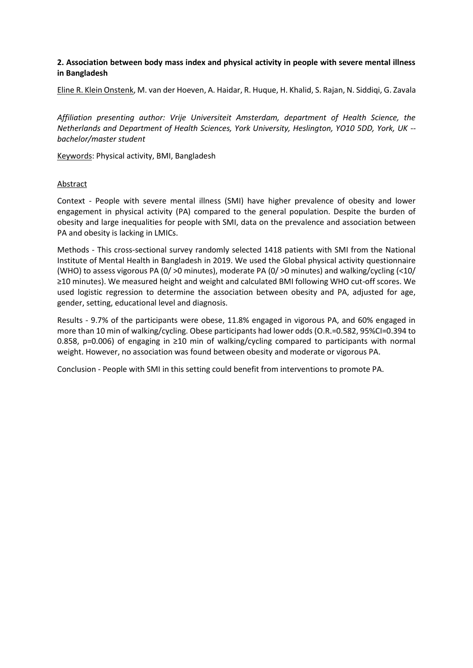## **2. Association between body mass index and physical activity in people with severe mental illness in Bangladesh**

Eline R. Klein Onstenk, M. van der Hoeven, A. Haidar, R. Huque, H. Khalid, S. Rajan, N. Siddiqi, G. Zavala

*Affiliation presenting author: Vrije Universiteit Amsterdam, department of Health Science, the Netherlands and Department of Health Sciences, York University, Heslington, YO10 5DD, York, UK - bachelor/master student*

Keywords: Physical activity, BMI, Bangladesh

#### Abstract

Context - People with severe mental illness (SMI) have higher prevalence of obesity and lower engagement in physical activity (PA) compared to the general population. Despite the burden of obesity and large inequalities for people with SMI, data on the prevalence and association between PA and obesity is lacking in LMICs.

Methods - This cross-sectional survey randomly selected 1418 patients with SMI from the National Institute of Mental Health in Bangladesh in 2019. We used the Global physical activity questionnaire (WHO) to assess vigorous PA (0/ >0 minutes), moderate PA (0/ >0 minutes) and walking/cycling (<10/ ≥10 minutes). We measured height and weight and calculated BMI following WHO cut-off scores. We used logistic regression to determine the association between obesity and PA, adjusted for age, gender, setting, educational level and diagnosis.

Results - 9.7% of the participants were obese, 11.8% engaged in vigorous PA, and 60% engaged in more than 10 min of walking/cycling. Obese participants had lower odds (O.R.=0.582, 95%CI=0.394 to 0.858, p=0.006) of engaging in ≥10 min of walking/cycling compared to participants with normal weight. However, no association was found between obesity and moderate or vigorous PA.

Conclusion - People with SMI in this setting could benefit from interventions to promote PA.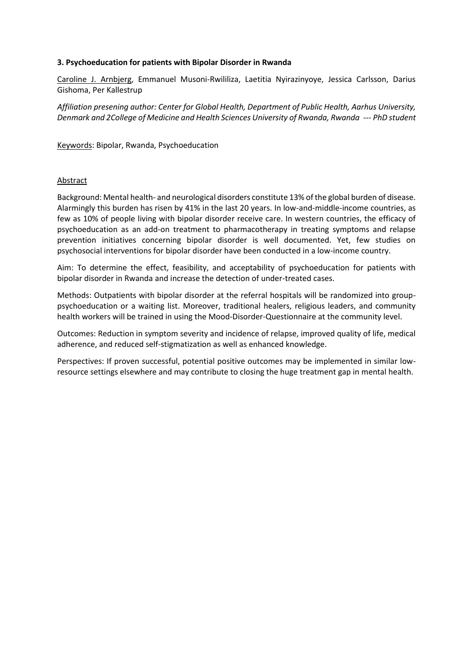## **3. Psychoeducation for patients with Bipolar Disorder in Rwanda**

Caroline J. Arnbjerg, Emmanuel Musoni-Rwililiza, Laetitia Nyirazinyoye, Jessica Carlsson, Darius Gishoma, Per Kallestrup

*Affiliation presening author: Center for Global Health, Department of Public Health, Aarhus University, Denmark and 2College of Medicine and Health Sciences University of Rwanda, Rwanda --- PhD student*

Keywords: Bipolar, Rwanda, Psychoeducation

#### Abstract

Background: Mental health- and neurological disorders constitute 13% of the global burden of disease. Alarmingly this burden has risen by 41% in the last 20 years. In low-and-middle-income countries, as few as 10% of people living with bipolar disorder receive care. In western countries, the efficacy of psychoeducation as an add-on treatment to pharmacotherapy in treating symptoms and relapse prevention initiatives concerning bipolar disorder is well documented. Yet, few studies on psychosocial interventions for bipolar disorder have been conducted in a low-income country.

Aim: To determine the effect, feasibility, and acceptability of psychoeducation for patients with bipolar disorder in Rwanda and increase the detection of under-treated cases.

Methods: Outpatients with bipolar disorder at the referral hospitals will be randomized into grouppsychoeducation or a waiting list. Moreover, traditional healers, religious leaders, and community health workers will be trained in using the Mood-Disorder-Questionnaire at the community level.

Outcomes: Reduction in symptom severity and incidence of relapse, improved quality of life, medical adherence, and reduced self-stigmatization as well as enhanced knowledge.

Perspectives: If proven successful, potential positive outcomes may be implemented in similar lowresource settings elsewhere and may contribute to closing the huge treatment gap in mental health.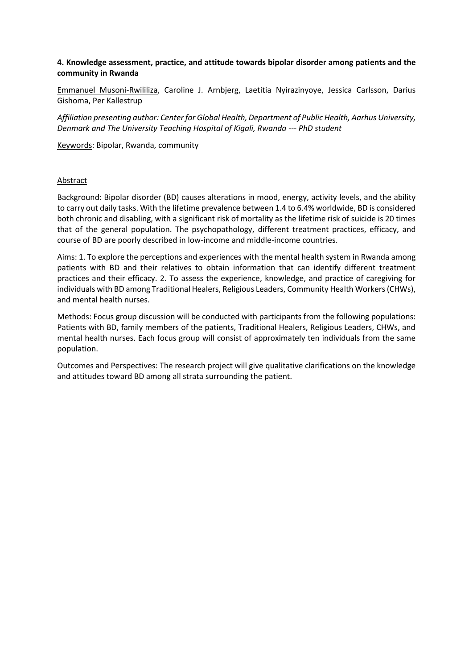## **4. Knowledge assessment, practice, and attitude towards bipolar disorder among patients and the community in Rwanda**

Emmanuel Musoni-Rwililiza, Caroline J. Arnbjerg, Laetitia Nyirazinyoye, Jessica Carlsson, Darius Gishoma, Per Kallestrup

*Affiliation presenting author: Center for Global Health, Department of Public Health, Aarhus University, Denmark and The University Teaching Hospital of Kigali, Rwanda --- PhD student*

Keywords: Bipolar, Rwanda, community

#### Abstract

Background: Bipolar disorder (BD) causes alterations in mood, energy, activity levels, and the ability to carry out daily tasks. With the lifetime prevalence between 1.4 to 6.4% worldwide, BD is considered both chronic and disabling, with a significant risk of mortality as the lifetime risk of suicide is 20 times that of the general population. The psychopathology, different treatment practices, efficacy, and course of BD are poorly described in low-income and middle-income countries.

Aims: 1. To explore the perceptions and experiences with the mental health system in Rwanda among patients with BD and their relatives to obtain information that can identify different treatment practices and their efficacy. 2. To assess the experience, knowledge, and practice of caregiving for individuals with BD among Traditional Healers, Religious Leaders, Community Health Workers (CHWs), and mental health nurses.

Methods: Focus group discussion will be conducted with participants from the following populations: Patients with BD, family members of the patients, Traditional Healers, Religious Leaders, CHWs, and mental health nurses. Each focus group will consist of approximately ten individuals from the same population.

Outcomes and Perspectives: The research project will give qualitative clarifications on the knowledge and attitudes toward BD among all strata surrounding the patient.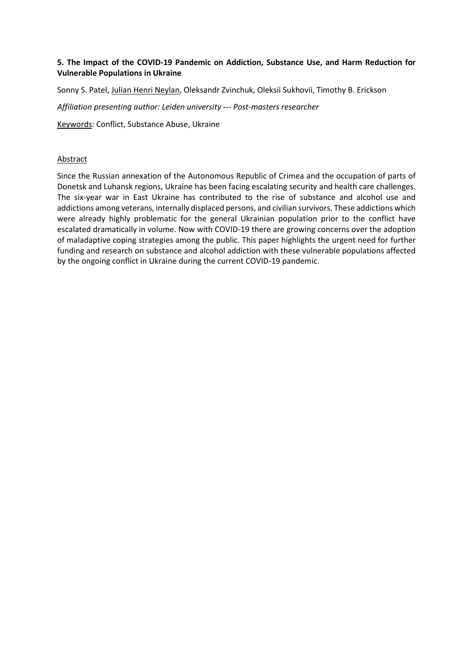## **5. The Impact of the COVID-19 Pandemic on Addiction, Substance Use, and Harm Reduction for Vulnerable Populations in Ukraine**

Sonny S. Patel, Julian Henri Neylan, Oleksandr Zvinchuk, Oleksii Sukhovii, Timothy B. Erickson

*Affiliation presenting author: Leiden university --- Post-masters researcher*

Keywords: Conflict, Substance Abuse, Ukraine

## Abstract

Since the Russian annexation of the Autonomous Republic of Crimea and the occupation of parts of Donetsk and Luhansk regions, Ukraine has been facing escalating security and health care challenges. The six-year war in East Ukraine has contributed to the rise of substance and alcohol use and addictions among veterans, internally displaced persons, and civilian survivors. These addictions which were already highly problematic for the general Ukrainian population prior to the conflict have escalated dramatically in volume. Now with COVID-19 there are growing concerns over the adoption of maladaptive coping strategies among the public. This paper highlights the urgent need for further funding and research on substance and alcohol addiction with these vulnerable populations affected by the ongoing conflict in Ukraine during the current COVID-19 pandemic.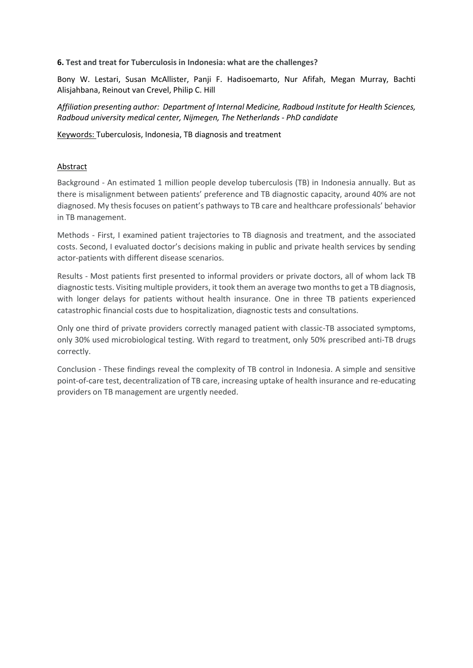**6. Test and treat for Tuberculosis in Indonesia: what are the challenges?**

Bony W. Lestari, Susan McAllister, Panji F. Hadisoemarto, Nur Afifah, Megan Murray, Bachti Alisjahbana, Reinout van Crevel, Philip C. Hill

*Affiliation presenting author: Department of Internal Medicine, Radboud Institute for Health Sciences, Radboud university medical center, Nijmegen, The Netherlands - PhD candidate*

Keywords: Tuberculosis, Indonesia, TB diagnosis and treatment

## **Abstract**

Background - An estimated 1 million people develop tuberculosis (TB) in Indonesia annually. But as there is misalignment between patients' preference and TB diagnostic capacity, around 40% are not diagnosed. My thesis focuses on patient's pathways to TB care and healthcare professionals' behavior in TB management.

Methods - First, I examined patient trajectories to TB diagnosis and treatment, and the associated costs. Second, I evaluated doctor's decisions making in public and private health services by sending actor-patients with different disease scenarios.

Results - Most patients first presented to informal providers or private doctors, all of whom lack TB diagnostic tests. Visiting multiple providers, it took them an average two months to get a TB diagnosis, with longer delays for patients without health insurance. One in three TB patients experienced catastrophic financial costs due to hospitalization, diagnostic tests and consultations.

Only one third of private providers correctly managed patient with classic-TB associated symptoms, only 30% used microbiological testing. With regard to treatment, only 50% prescribed anti-TB drugs correctly.

Conclusion - These findings reveal the complexity of TB control in Indonesia. A simple and sensitive point-of-care test, decentralization of TB care, increasing uptake of health insurance and re-educating providers on TB management are urgently needed.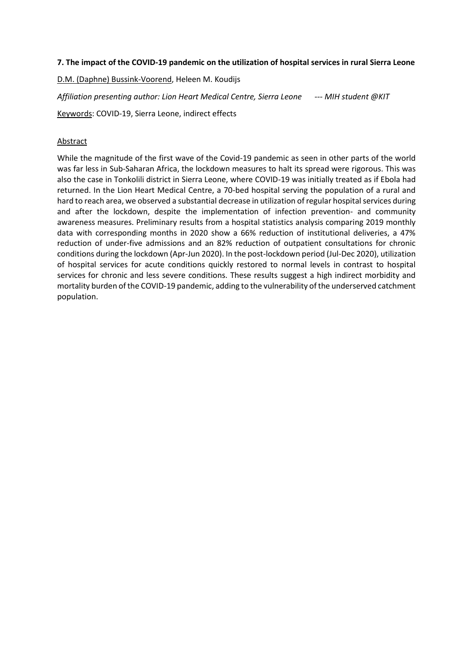#### **7. The impact of the COVID-19 pandemic on the utilization of hospital services in rural Sierra Leone**

D.M. (Daphne) Bussink-Voorend, Heleen M. Koudijs

*Affiliation presenting author: Lion Heart Medical Centre, Sierra Leone --- MIH student @KIT*

Keywords: COVID-19, Sierra Leone, indirect effects

#### **Abstract**

While the magnitude of the first wave of the Covid-19 pandemic as seen in other parts of the world was far less in Sub-Saharan Africa, the lockdown measures to halt its spread were rigorous. This was also the case in Tonkolili district in Sierra Leone, where COVID-19 was initially treated as if Ebola had returned. In the Lion Heart Medical Centre, a 70-bed hospital serving the population of a rural and hard to reach area, we observed a substantial decrease in utilization of regular hospital services during and after the lockdown, despite the implementation of infection prevention- and community awareness measures. Preliminary results from a hospital statistics analysis comparing 2019 monthly data with corresponding months in 2020 show a 66% reduction of institutional deliveries, a 47% reduction of under-five admissions and an 82% reduction of outpatient consultations for chronic conditions during the lockdown (Apr-Jun 2020). In the post-lockdown period (Jul-Dec 2020), utilization of hospital services for acute conditions quickly restored to normal levels in contrast to hospital services for chronic and less severe conditions. These results suggest a high indirect morbidity and mortality burden of the COVID-19 pandemic, adding to the vulnerability of the underserved catchment population.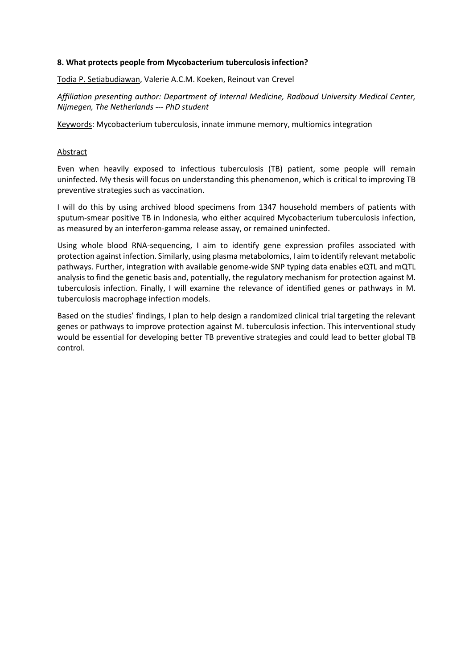## **8. What protects people from Mycobacterium tuberculosis infection?**

Todia P. Setiabudiawan, Valerie A.C.M. Koeken, Reinout van Crevel

*Affiliation presenting author: Department of Internal Medicine, Radboud University Medical Center, Nijmegen, The Netherlands --- PhD student*

Keywords: Mycobacterium tuberculosis, innate immune memory, multiomics integration

## **Abstract**

Even when heavily exposed to infectious tuberculosis (TB) patient, some people will remain uninfected. My thesis will focus on understanding this phenomenon, which is critical to improving TB preventive strategies such as vaccination.

I will do this by using archived blood specimens from 1347 household members of patients with sputum-smear positive TB in Indonesia, who either acquired Mycobacterium tuberculosis infection, as measured by an interferon-gamma release assay, or remained uninfected.

Using whole blood RNA-sequencing, I aim to identify gene expression profiles associated with protection against infection. Similarly, using plasma metabolomics, I aim to identify relevant metabolic pathways. Further, integration with available genome-wide SNP typing data enables eQTL and mQTL analysis to find the genetic basis and, potentially, the regulatory mechanism for protection against M. tuberculosis infection. Finally, I will examine the relevance of identified genes or pathways in M. tuberculosis macrophage infection models.

Based on the studies' findings, I plan to help design a randomized clinical trial targeting the relevant genes or pathways to improve protection against M. tuberculosis infection. This interventional study would be essential for developing better TB preventive strategies and could lead to better global TB control.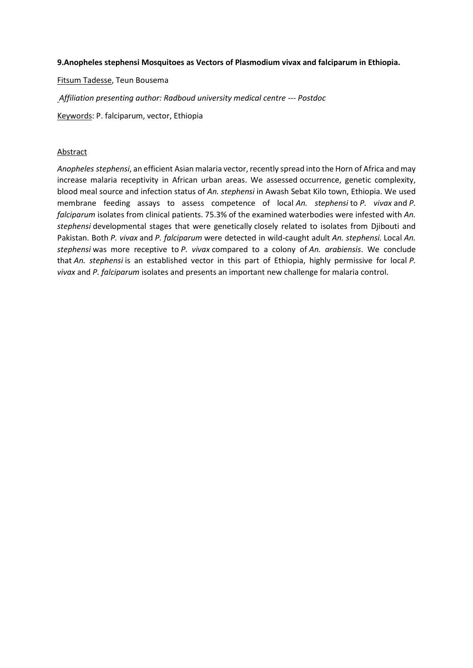#### **9.Anopheles stephensi Mosquitoes as Vectors of Plasmodium vivax and falciparum in Ethiopia.**

Fitsum Tadesse, Teun Bousema

*Affiliation presenting author: Radboud university medical centre --- Postdoc*

Keywords: P. falciparum, vector, Ethiopia

#### **Abstract**

*Anopheles stephensi*, an efficient Asian malaria vector, recently spread into the Horn of Africa and may increase malaria receptivity in African urban areas. We assessed occurrence, genetic complexity, blood meal source and infection status of *An. stephensi* in Awash Sebat Kilo town, Ethiopia. We used membrane feeding assays to assess competence of local *An. stephensi* to *P. vivax* and *P. falciparum* isolates from clinical patients. 75.3% of the examined waterbodies were infested with *An. stephensi* developmental stages that were genetically closely related to isolates from Djibouti and Pakistan. Both *P. vivax* and *P. falciparum* were detected in wild-caught adult *An. stephensi.* Local *An. stephensi* was more receptive to *P. vivax* compared to a colony of *An. arabiensis*. We conclude that *An. stephensi* is an established vector in this part of Ethiopia, highly permissive for local *P. vivax* and *P. falciparum* isolates and presents an important new challenge for malaria control.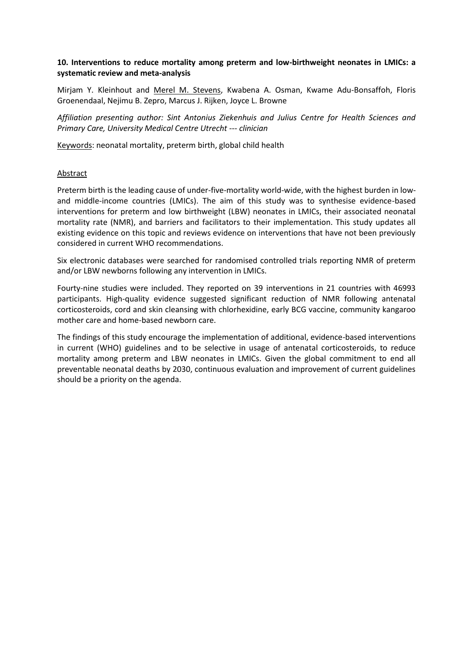## **10. Interventions to reduce mortality among preterm and low-birthweight neonates in LMICs: a systematic review and meta-analysis**

Mirjam Y. Kleinhout and Merel M. Stevens, Kwabena A. Osman, Kwame Adu-Bonsaffoh, Floris Groenendaal, Nejimu B. Zepro, Marcus J. Rijken, Joyce L. Browne

*Affiliation presenting author: Sint Antonius Ziekenhuis and Julius Centre for Health Sciences and Primary Care, University Medical Centre Utrecht --- clinician*

Keywords: neonatal mortality, preterm birth, global child health

#### Abstract

Preterm birth is the leading cause of under-five-mortality world-wide, with the highest burden in lowand middle-income countries (LMICs). The aim of this study was to synthesise evidence-based interventions for preterm and low birthweight (LBW) neonates in LMICs, their associated neonatal mortality rate (NMR), and barriers and facilitators to their implementation. This study updates all existing evidence on this topic and reviews evidence on interventions that have not been previously considered in current WHO recommendations.

Six electronic databases were searched for randomised controlled trials reporting NMR of preterm and/or LBW newborns following any intervention in LMICs.

Fourty-nine studies were included. They reported on 39 interventions in 21 countries with 46993 participants. High-quality evidence suggested significant reduction of NMR following antenatal corticosteroids, cord and skin cleansing with chlorhexidine, early BCG vaccine, community kangaroo mother care and home-based newborn care.

The findings of this study encourage the implementation of additional, evidence-based interventions in current (WHO) guidelines and to be selective in usage of antenatal corticosteroids, to reduce mortality among preterm and LBW neonates in LMICs. Given the global commitment to end all preventable neonatal deaths by 2030, continuous evaluation and improvement of current guidelines should be a priority on the agenda.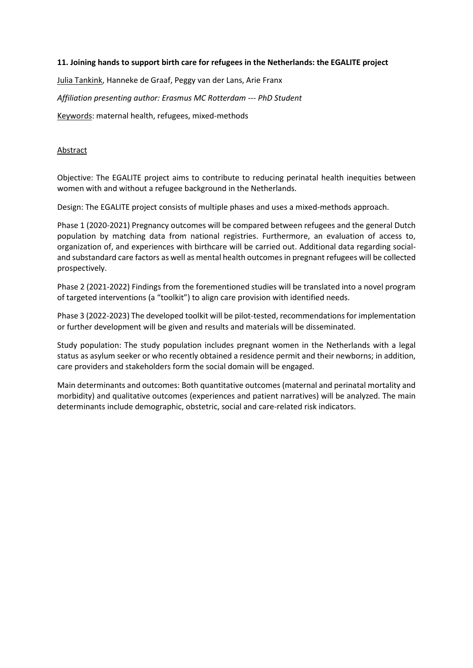#### **11. Joining hands to support birth care for refugees in the Netherlands: the EGALITE project**

Julia Tankink, Hanneke de Graaf, Peggy van der Lans, Arie Franx

*Affiliation presenting author: Erasmus MC Rotterdam --- PhD Student*

Keywords: maternal health, refugees, mixed-methods

#### **Abstract**

Objective: The EGALITE project aims to contribute to reducing perinatal health inequities between women with and without a refugee background in the Netherlands.

Design: The EGALITE project consists of multiple phases and uses a mixed-methods approach.

Phase 1 (2020-2021) Pregnancy outcomes will be compared between refugees and the general Dutch population by matching data from national registries. Furthermore, an evaluation of access to, organization of, and experiences with birthcare will be carried out. Additional data regarding socialand substandard care factors as well as mental health outcomes in pregnant refugees will be collected prospectively.

Phase 2 (2021-2022) Findings from the forementioned studies will be translated into a novel program of targeted interventions (a "toolkit") to align care provision with identified needs.

Phase 3 (2022-2023) The developed toolkit will be pilot-tested, recommendations for implementation or further development will be given and results and materials will be disseminated.

Study population: The study population includes pregnant women in the Netherlands with a legal status as asylum seeker or who recently obtained a residence permit and their newborns; in addition, care providers and stakeholders form the social domain will be engaged.

Main determinants and outcomes: Both quantitative outcomes (maternal and perinatal mortality and morbidity) and qualitative outcomes (experiences and patient narratives) will be analyzed. The main determinants include demographic, obstetric, social and care-related risk indicators.